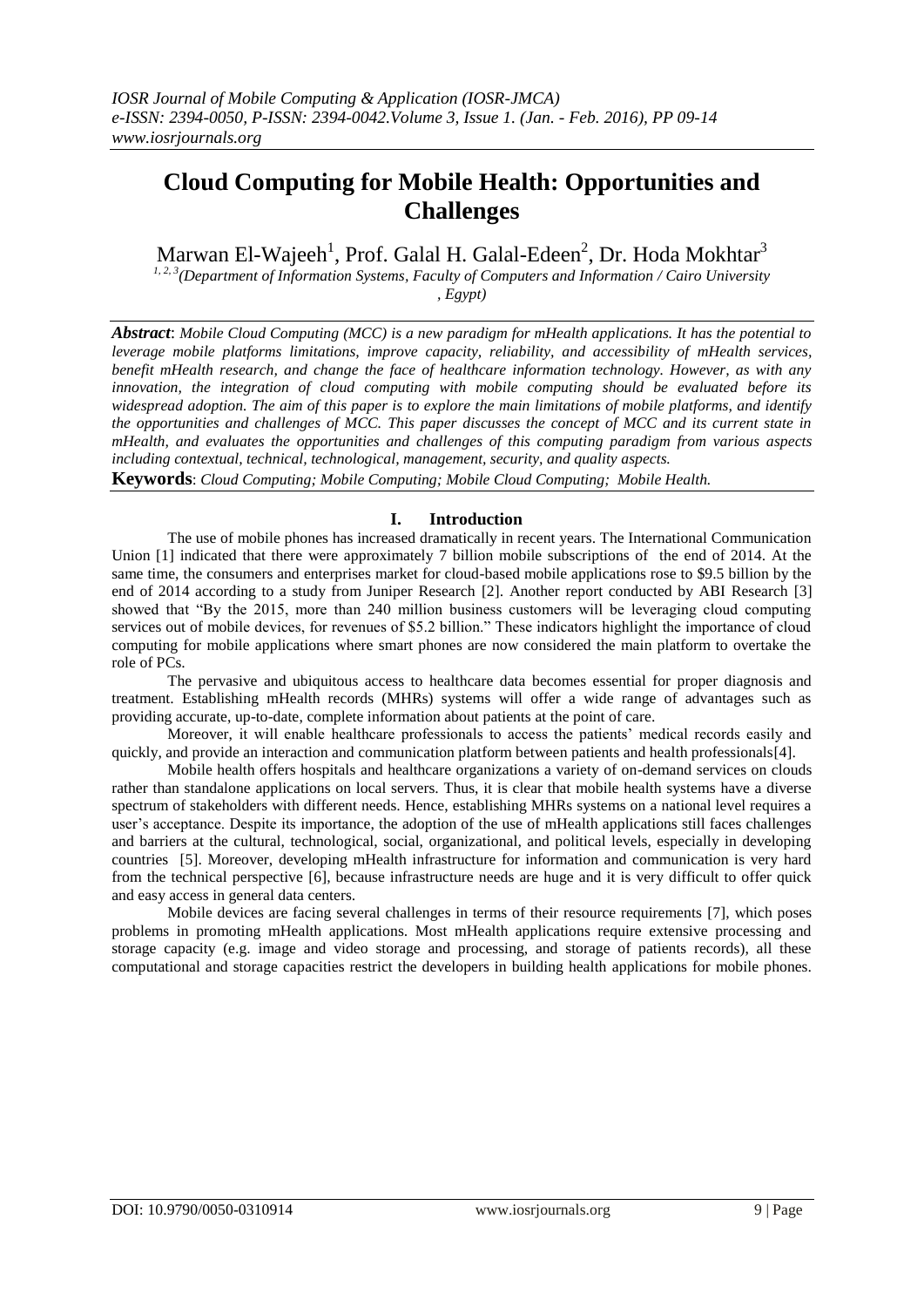# **Cloud Computing for Mobile Health: Opportunities and Challenges**

Marwan El-Wajeeh<sup>1</sup>, Prof. Galal H. Galal-Edeen<sup>2</sup>, Dr. Hoda Mokhtar<sup>3</sup>

*1, 2, 3(Department of Information Systems, Faculty of Computers and Information / Cairo University , Egypt)*

*Abstract*: *Mobile Cloud Computing (MCC) is a new paradigm for mHealth applications. It has the potential to leverage mobile platforms limitations, improve capacity, reliability, and accessibility of mHealth services, benefit mHealth research, and change the face of healthcare information technology. However, as with any innovation, the integration of cloud computing with mobile computing should be evaluated before its*  widespread adoption. The aim of this paper is to explore the main limitations of mobile platforms, and identify *the opportunities and challenges of MCC. This paper discusses the concept of MCC and its current state in mHealth, and evaluates the opportunities and challenges of this computing paradigm from various aspects including contextual, technical, technological, management, security, and quality aspects.*

**Keywords**: *Cloud Computing; Mobile Computing; Mobile Cloud Computing; Mobile Health.*

#### **I. Introduction**

The use of mobile phones has increased dramatically in recent years. The International Communication Union [\[1\]](#page-5-0) indicated that there were approximately 7 billion mobile subscriptions of the end of 2014. At the same time, the consumers and enterprises market for cloud-based mobile applications rose to \$9.5 billion by the end of 2014 according to a study from Juniper Research [\[2\]](#page-5-1). Another report conducted by ABI Research [\[3\]](#page-5-2) showed that "By the 2015, more than 240 million business customers will be leveraging cloud computing services out of mobile devices, for revenues of \$5.2 billion." These indicators highlight the importance of cloud computing for mobile applications where smart phones are now considered the main platform to overtake the role of PCs.

The pervasive and ubiquitous access to healthcare data becomes essential for proper diagnosis and treatment. Establishing mHealth records (MHRs) systems will offer a wide range of advantages such as providing accurate, up-to-date, complete information about patients at the point of care.

Moreover, it will enable healthcare professionals to access the patients" medical records easily and quickly, and provide an interaction and communication platform between patients and health professionals[\[4\]](#page-5-3).

Mobile health offers hospitals and healthcare organizations a variety of on-demand services on clouds rather than standalone applications on local servers. Thus, it is clear that mobile health systems have a diverse spectrum of stakeholders with different needs. Hence, establishing MHRs systems on a national level requires a user"s acceptance. Despite its importance, the adoption of the use of mHealth applications still faces challenges and barriers at the cultural, technological, social, organizational, and political levels, especially in developing countries [\[5\]](#page-5-4). Moreover, developing mHealth infrastructure for information and communication is very hard from the technical perspective [\[6\]](#page-5-5), because infrastructure needs are huge and it is very difficult to offer quick and easy access in general data centers.

Mobile devices are facing several challenges in terms of their resource requirements [\[7\]](#page-5-6), which poses problems in promoting mHealth applications. Most mHealth applications require extensive processing and storage capacity (e.g. image and video storage and processing, and storage of patients records), all these computational and storage capacities restrict the developers in building health applications for mobile phones.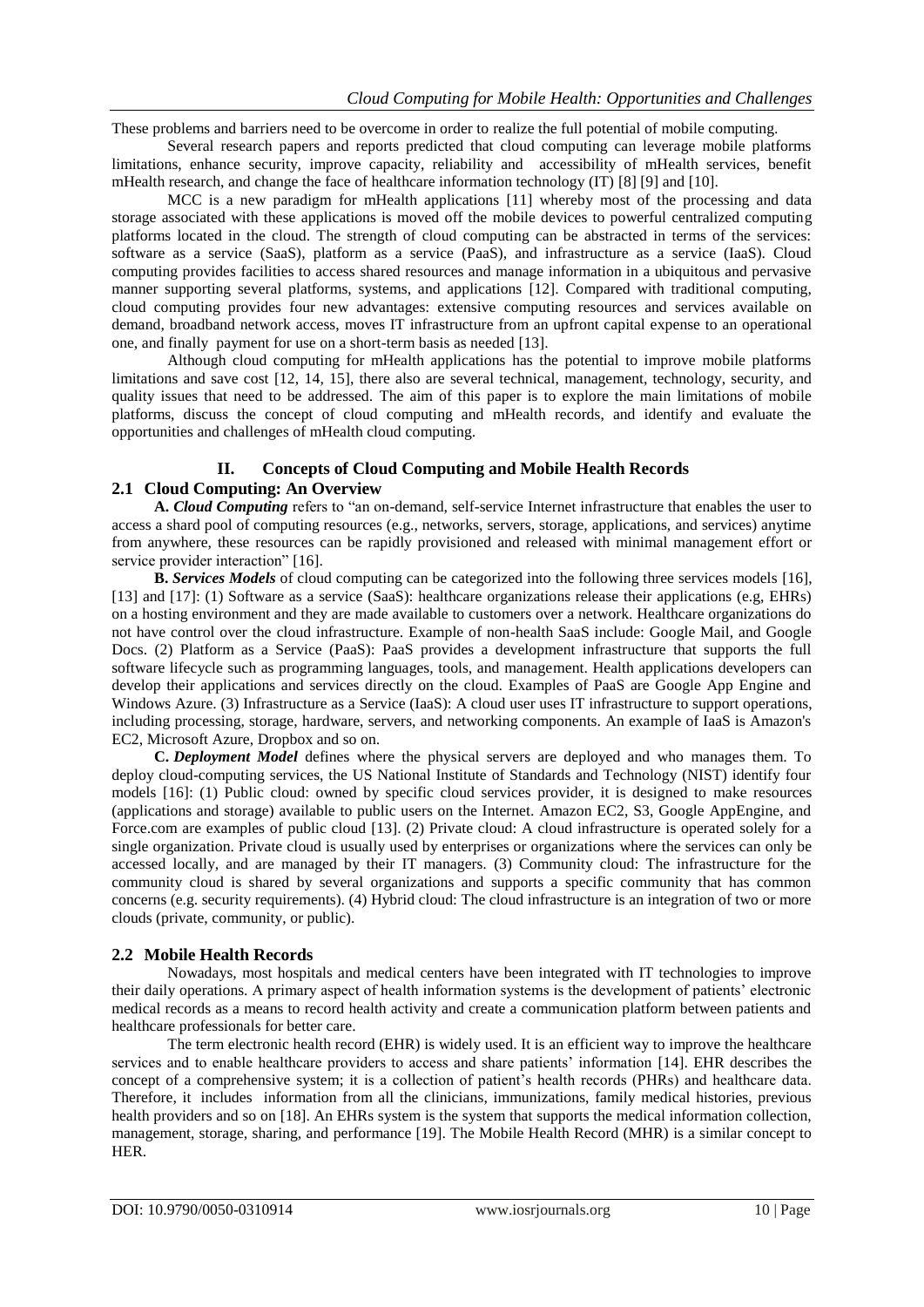These problems and barriers need to be overcome in order to realize the full potential of mobile computing.

Several research papers and reports predicted that cloud computing can leverage mobile platforms limitations, enhance security, improve capacity, reliability and accessibility of mHealth services, benefit mHealth research, and change the face of healthcare information technology (IT) [\[8\]](#page-5-7) [\[9\]](#page-5-8) and [\[10\]](#page-5-9).

MCC is a new paradigm for mHealth applications [\[11\]](#page-5-10) whereby most of the processing and data storage associated with these applications is moved off the mobile devices to powerful centralized computing platforms located in the cloud. The strength of cloud computing can be abstracted in terms of the services: software as a service (SaaS), platform as a service (PaaS), and infrastructure as a service (IaaS). Cloud computing provides facilities to access shared resources and manage information in a ubiquitous and pervasive manner supporting several platforms, systems, and applications [\[12\]](#page-5-11). Compared with traditional computing, cloud computing provides four new advantages: extensive computing resources and services available on demand, broadband network access, moves IT infrastructure from an upfront capital expense to an operational one, and finally payment for use on a short-term basis as needed [\[13\]](#page-5-12).

Although cloud computing for mHealth applications has the potential to improve mobile platforms limitations and save cost [\[12,](#page-5-11) [14,](#page-5-13) [15\]](#page-5-14), there also are several technical, management, technology, security, and quality issues that need to be addressed. The aim of this paper is to explore the main limitations of mobile platforms, discuss the concept of cloud computing and mHealth records, and identify and evaluate the opportunities and challenges of mHealth cloud computing.

# **II. Concepts of Cloud Computing and Mobile Health Records**

## **2.1 Cloud Computing: An Overview**

**A.** *Cloud Computing* refers to "an on-demand, self-service Internet infrastructure that enables the user to access a shard pool of computing resources (e.g., networks, servers, storage, applications, and services) anytime from anywhere, these resources can be rapidly provisioned and released with minimal management effort or service provider interaction" [\[16\]](#page-5-15).

**B.** *Services Models* of cloud computing can be categorized into the following three services models [\[16\]](#page-5-15), [\[13\]](#page-5-12) and [\[17\]](#page-5-16): (1) Software as a service (SaaS): healthcare organizations release their applications (e.g, EHRs) on a hosting environment and they are made available to customers over a network. Healthcare organizations do not have control over the cloud infrastructure. Example of non-health SaaS include: Google Mail, and Google Docs. (2) Platform as a Service (PaaS): PaaS provides a development infrastructure that supports the full software lifecycle such as programming languages, tools, and management. Health applications developers can develop their applications and services directly on the cloud. Examples of PaaS are Google App Engine and Windows Azure. (3) Infrastructure as a Service (IaaS): A cloud user uses IT infrastructure to support operations, including processing, storage, hardware, servers, and networking components. An example of IaaS is Amazon's EC2, Microsoft Azure, Dropbox and so on.

**C.** *Deployment Model* defines where the physical servers are deployed and who manages them. To deploy cloud-computing services, the US National Institute of Standards and Technology (NIST) identify four models [\[16\]](#page-5-15): (1) Public cloud: owned by specific cloud services provider, it is designed to make resources (applications and storage) available to public users on the Internet. Amazon EC2, S3, Google AppEngine, and Force.com are examples of public cloud [\[13\]](#page-5-12). (2) Private cloud: A cloud infrastructure is operated solely for a single organization. Private cloud is usually used by enterprises or organizations where the services can only be accessed locally, and are managed by their IT managers. (3) Community cloud: The infrastructure for the community cloud is shared by several organizations and supports a specific community that has common concerns (e.g. security requirements). (4) Hybrid cloud: The cloud infrastructure is an integration of two or more clouds (private, community, or public).

#### **2.2 Mobile Health Records**

Nowadays, most hospitals and medical centers have been integrated with IT technologies to improve their daily operations. A primary aspect of health information systems is the development of patients" electronic medical records as a means to record health activity and create a communication platform between patients and healthcare professionals for better care.

The term electronic health record (EHR) is widely used. It is an efficient way to improve the healthcare services and to enable healthcare providers to access and share patients" information [\[14\]](#page-5-13). EHR describes the concept of a comprehensive system; it is a collection of patient"s health records (PHRs) and healthcare data. Therefore, it includes information from all the clinicians, immunizations, family medical histories, previous health providers and so on [\[18\]](#page-5-17). An EHRs system is the system that supports the medical information collection, management, storage, sharing, and performance [\[19\]](#page-5-18). The Mobile Health Record (MHR) is a similar concept to HER.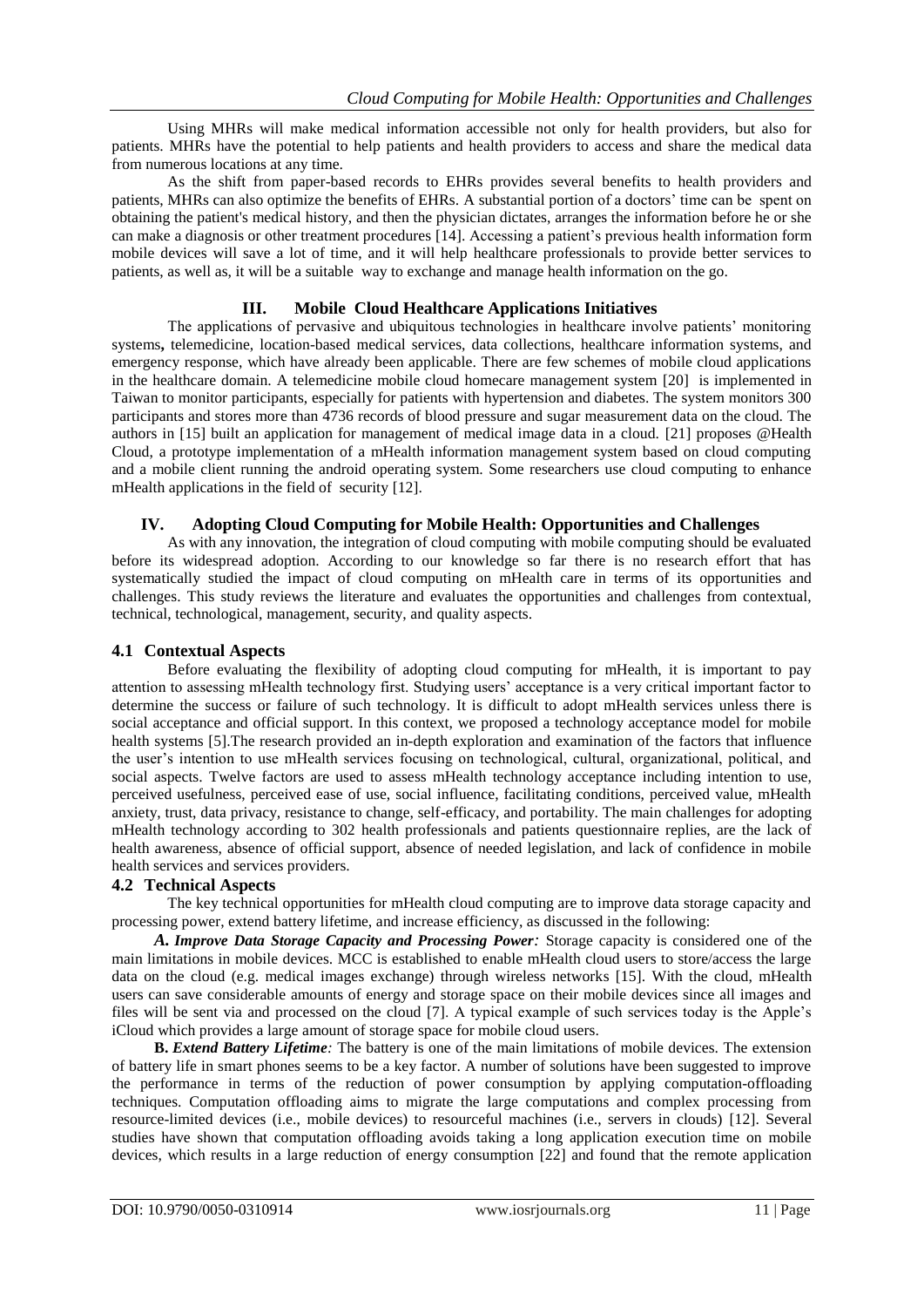Using MHRs will make medical information accessible not only for health providers, but also for patients. MHRs have the potential to help patients and health providers to access and share the medical data from numerous locations at any time.

As the shift from paper-based records to EHRs provides several benefits to health providers and patients, MHRs can also optimize the benefits of EHRs. A substantial portion of a doctors" time can be spent on obtaining the patient's medical history, and then the physician dictates, arranges the information before he or she can make a diagnosis or other treatment procedures [\[14\]](#page-5-13). Accessing a patient"s previous health information form mobile devices will save a lot of time, and it will help healthcare professionals to provide better services to patients, as well as, it will be a suitable way to exchange and manage health information on the go.

### **III. Mobile Cloud Healthcare Applications Initiatives**

The applications of pervasive and ubiquitous technologies in healthcare involve patients" monitoring systems**,** telemedicine, location-based medical services, data collections, healthcare information systems, and emergency response, which have already been applicable. There are few schemes of mobile cloud applications in the healthcare domain. A telemedicine mobile cloud homecare management system [\[20\]](#page-5-19) is implemented in Taiwan to monitor participants, especially for patients with hypertension and diabetes. The system monitors 300 participants and stores more than 4736 records of blood pressure and sugar measurement data on the cloud. The authors in [\[15\]](#page-5-14) built an application for management of medical image data in a cloud. [\[21\]](#page-5-20) proposes @Health Cloud, a prototype implementation of a mHealth information management system based on cloud computing and a mobile client running the android operating system. Some researchers use cloud computing to enhance mHealth applications in the field of security [\[12\]](#page-5-11).

#### **IV. Adopting Cloud Computing for Mobile Health: Opportunities and Challenges**

As with any innovation, the integration of cloud computing with mobile computing should be evaluated before its widespread adoption. According to our knowledge so far there is no research effort that has systematically studied the impact of cloud computing on mHealth care in terms of its opportunities and challenges. This study reviews the literature and evaluates the opportunities and challenges from contextual, technical, technological, management, security, and quality aspects.

### **4.1 Contextual Aspects**

Before evaluating the flexibility of adopting cloud computing for mHealth, it is important to pay attention to assessing mHealth technology first. Studying users" acceptance is a very critical important factor to determine the success or failure of such technology. It is difficult to adopt mHealth services unless there is social acceptance and official support. In this context, we proposed a technology acceptance model for mobile health systems [\[5\]](#page-5-4).The research provided an in-depth exploration and examination of the factors that influence the user"s intention to use mHealth services focusing on technological, cultural, organizational, political, and social aspects. Twelve factors are used to assess mHealth technology acceptance including intention to use, perceived usefulness, perceived ease of use, social influence, facilitating conditions, perceived value, mHealth anxiety, trust, data privacy, resistance to change, self-efficacy, and portability. The main challenges for adopting mHealth technology according to 302 health professionals and patients questionnaire replies, are the lack of health awareness, absence of official support, absence of needed legislation, and lack of confidence in mobile health services and services providers.

#### **4.2 Technical Aspects**

The key technical opportunities for mHealth cloud computing are to improve data storage capacity and processing power, extend battery lifetime, and increase efficiency, as discussed in the following:

*A. Improve Data Storage Capacity and Processing Power:* Storage capacity is considered one of the main limitations in mobile devices. MCC is established to enable mHealth cloud users to store/access the large data on the cloud (e.g. medical images exchange) through wireless networks [\[15\]](#page-5-14). With the cloud, mHealth users can save considerable amounts of energy and storage space on their mobile devices since all images and files will be sent via and processed on the cloud [\[7\]](#page-5-6). A typical example of such services today is the Apple"s iCloud which provides a large amount of storage space for mobile cloud users.

**B.** *Extend Battery Lifetime:* The battery is one of the main limitations of mobile devices. The extension of battery life in smart phones seems to be a key factor. A number of solutions have been suggested to improve the performance in terms of the reduction of power consumption by applying computation-offloading techniques. Computation offloading aims to migrate the large computations and complex processing from resource-limited devices (i.e., mobile devices) to resourceful machines (i.e., servers in clouds) [\[12\]](#page-5-11). Several studies have shown that computation offloading avoids taking a long application execution time on mobile devices, which results in a large reduction of energy consumption [\[22\]](#page-5-21) and found that the remote application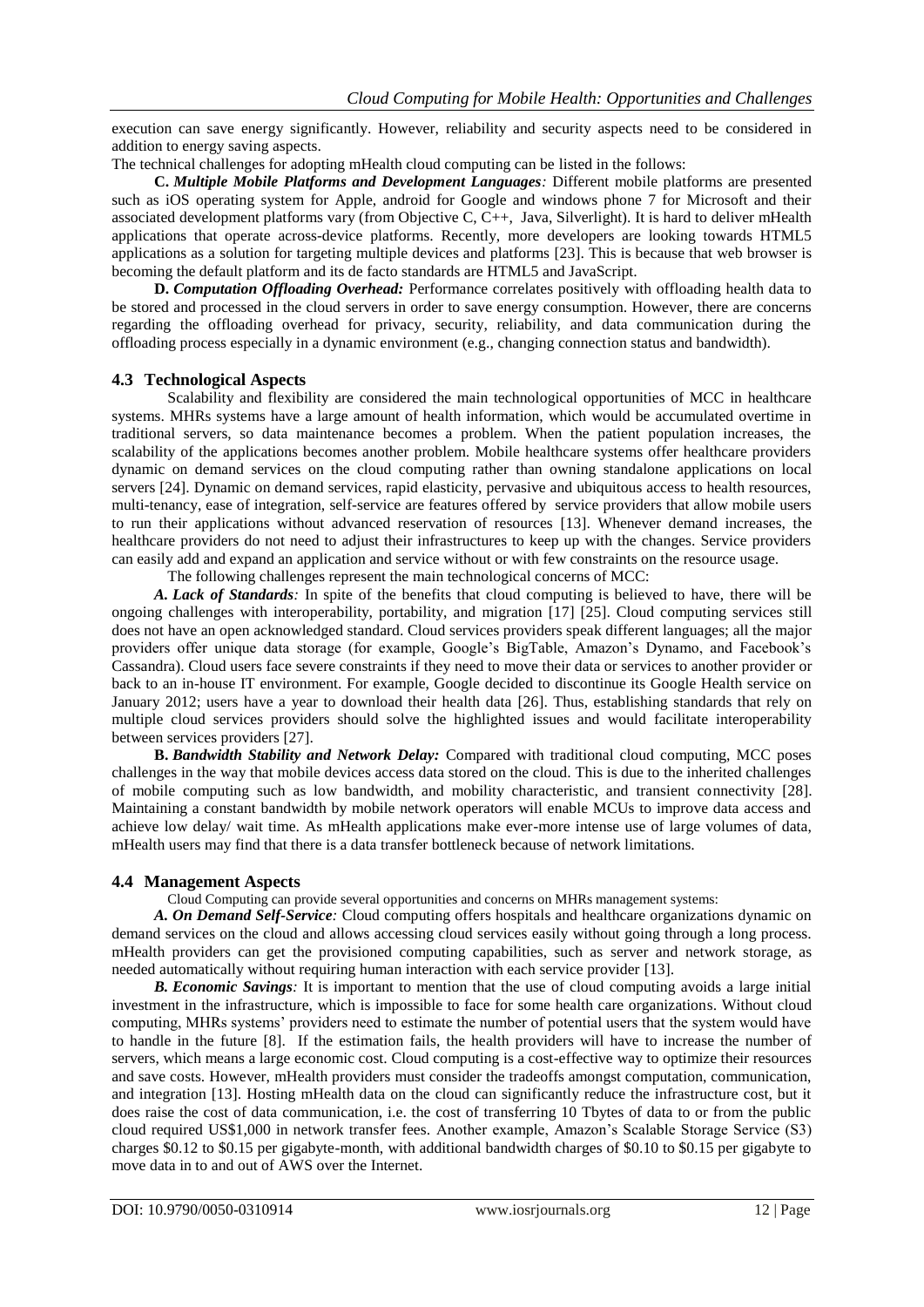execution can save energy significantly. However, reliability and security aspects need to be considered in addition to energy saving aspects.

The technical challenges for adopting mHealth cloud computing can be listed in the follows:

**C.** *Multiple Mobile Platforms and Development Languages:* Different mobile platforms are presented such as iOS operating system for Apple, android for Google and windows phone 7 for Microsoft and their associated development platforms vary (from Objective C, C++, Java, Silverlight). It is hard to deliver mHealth applications that operate across-device platforms. Recently, more developers are looking towards HTML5 applications as a solution for targeting multiple devices and platforms [\[23\]](#page-5-22). This is because that web browser is becoming the default platform and its de facto standards are HTML5 and JavaScript.

**D.** *Computation Offloading Overhead:* Performance correlates positively with offloading health data to be stored and processed in the cloud servers in order to save energy consumption. However, there are concerns regarding the offloading overhead for privacy, security, reliability, and data communication during the offloading process especially in a dynamic environment (e.g., changing connection status and bandwidth).

#### **4.3 Technological Aspects**

Scalability and flexibility are considered the main technological opportunities of MCC in healthcare systems. MHRs systems have a large amount of health information, which would be accumulated overtime in traditional servers, so data maintenance becomes a problem. When the patient population increases, the scalability of the applications becomes another problem. Mobile healthcare systems offer healthcare providers dynamic on demand services on the cloud computing rather than owning standalone applications on local servers [\[24\]](#page-5-23). Dynamic on demand services, rapid elasticity, pervasive and ubiquitous access to health resources, multi-tenancy, ease of integration, self-service are features offered by service providers that allow mobile users to run their applications without advanced reservation of resources [\[13\]](#page-5-12). Whenever demand increases, the healthcare providers do not need to adjust their infrastructures to keep up with the changes. Service providers can easily add and expand an application and service without or with few constraints on the resource usage.

The following challenges represent the main technological concerns of MCC:

*A. Lack of Standards:* In spite of the benefits that cloud computing is believed to have, there will be ongoing challenges with interoperability, portability, and migration [\[17\]](#page-5-16) [\[25\]](#page-5-24). Cloud computing services still does not have an open acknowledged standard. Cloud services providers speak different languages; all the major providers offer unique data storage (for example, Google"s BigTable, Amazon"s Dynamo, and Facebook"s Cassandra). Cloud users face severe constraints if they need to move their data or services to another provider or back to an in-house IT environment. For example, Google decided to discontinue its Google Health service on January 2012; users have a year to download their health data [\[26\]](#page-5-25). Thus, establishing standards that rely on multiple cloud services providers should solve the highlighted issues and would facilitate interoperability between services providers [\[27\]](#page-5-26).

**B.** *Bandwidth Stability and Network Delay:* Compared with traditional cloud computing, MCC poses challenges in the way that mobile devices access data stored on the cloud. This is due to the inherited challenges of mobile computing such as low bandwidth, and mobility characteristic, and transient connectivity [\[28\]](#page-5-27). Maintaining a constant bandwidth by mobile network operators will enable MCUs to improve data access and achieve low delay/ wait time. As mHealth applications make ever-more intense use of large volumes of data, mHealth users may find that there is a data transfer bottleneck because of network limitations.

#### **4.4 Management Aspects**

Cloud Computing can provide several opportunities and concerns on MHRs management systems:

*A. On Demand Self-Service:* Cloud computing offers hospitals and healthcare organizations dynamic on demand services on the cloud and allows accessing cloud services easily without going through a long process. mHealth providers can get the provisioned computing capabilities, such as server and network storage, as needed automatically without requiring human interaction with each service provider [\[13\]](#page-5-12).

*B. Economic Savings:* It is important to mention that the use of cloud computing avoids a large initial investment in the infrastructure, which is impossible to face for some health care organizations. Without cloud computing, MHRs systems" providers need to estimate the number of potential users that the system would have to handle in the future [\[8\]](#page-5-7). If the estimation fails, the health providers will have to increase the number of servers, which means a large economic cost. Cloud computing is a cost-effective way to optimize their resources and save costs. However, mHealth providers must consider the tradeoffs amongst computation, communication, and integration [\[13\]](#page-5-12). Hosting mHealth data on the cloud can significantly reduce the infrastructure cost, but it does raise the cost of data communication, i.e. the cost of transferring 10 Tbytes of data to or from the public cloud required US\$1,000 in network transfer fees. Another example, Amazon"s Scalable Storage Service (S3) charges \$0.12 to \$0.15 per gigabyte-month, with additional bandwidth charges of \$0.10 to \$0.15 per gigabyte to move data in to and out of AWS over the Internet.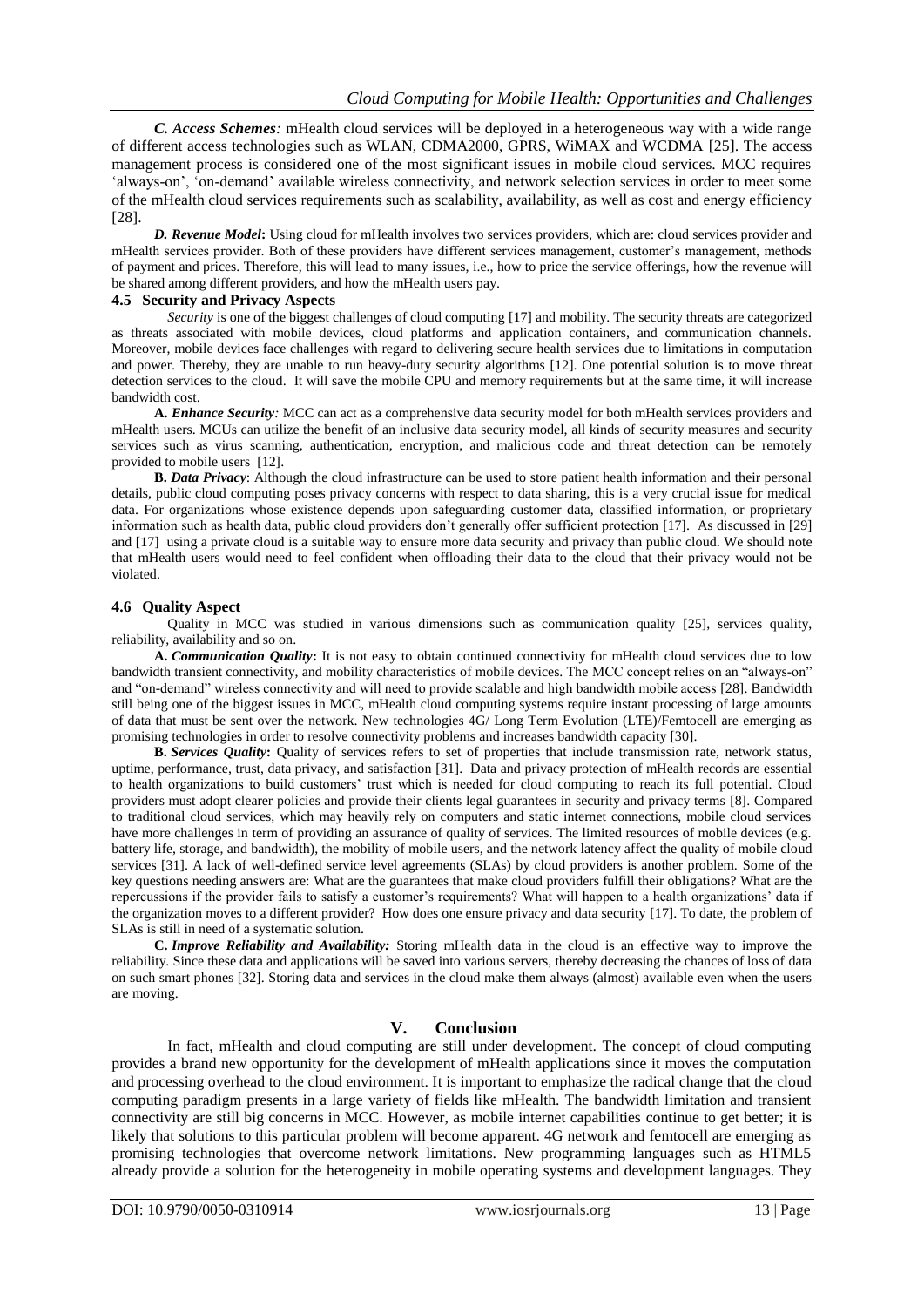*C. Access Schemes:* mHealth cloud services will be deployed in a heterogeneous way with a wide range of different access technologies such as WLAN, CDMA2000, GPRS, WiMAX and WCDMA [\[25\]](#page-5-24). The access management process is considered one of the most significant issues in mobile cloud services. MCC requires "always-on", "on-demand" available wireless connectivity, and network selection services in order to meet some of the mHealth cloud services requirements such as scalability, availability, as well as cost and energy efficiency [\[28\]](#page-5-27).

*D. Revenue Model***:** Using cloud for mHealth involves two services providers, which are: cloud services provider and mHealth services provider. Both of these providers have different services management, customer"s management, methods of payment and prices. Therefore, this will lead to many issues, i.e., how to price the service offerings, how the revenue will be shared among different providers, and how the mHealth users pay.

#### **4.5 Security and Privacy Aspects**

*Security* is one of the biggest challenges of cloud computing [\[17\]](#page-5-16) and mobility. The security threats are categorized as threats associated with mobile devices, cloud platforms and application containers, and communication channels. Moreover, mobile devices face challenges with regard to delivering secure health services due to limitations in computation and power. Thereby, they are unable to run heavy-duty security algorithms [\[12\]](#page-5-11). One potential solution is to move threat detection services to the cloud. It will save the mobile CPU and memory requirements but at the same time, it will increase bandwidth cost.

**A.** *Enhance Security:* MCC can act as a comprehensive data security model for both mHealth services providers and mHealth users. MCUs can utilize the benefit of an inclusive data security model, all kinds of security measures and security services such as virus scanning, authentication, encryption, and malicious code and threat detection can be remotely provided to mobile users [\[12\]](#page-5-11).

**B.** *Data Privacy*: Although the cloud infrastructure can be used to store patient health information and their personal details, public cloud computing poses privacy concerns with respect to data sharing, this is a very crucial issue for medical data. For organizations whose existence depends upon safeguarding customer data, classified information, or proprietary information such as health data, public cloud providers don"t generally offer sufficient protection [\[17\]](#page-5-16). As discussed in [\[29\]](#page-5-28) and [\[17\]](#page-5-16) using a private cloud is a suitable way to ensure more data security and privacy than public cloud. We should note that mHealth users would need to feel confident when offloading their data to the cloud that their privacy would not be violated.

### **4.6 Quality Aspect**

Quality in MCC was studied in various dimensions such as communication quality [\[25\]](#page-5-24), services quality, reliability, availability and so on.

**A.** *Communication Quality***:** It is not easy to obtain continued connectivity for mHealth cloud services due to low bandwidth transient connectivity, and mobility characteristics of mobile devices. The MCC concept relies on an "always-on" and "on-demand" wireless connectivity and will need to provide scalable and high bandwidth mobile access [\[28\]](#page-5-27). Bandwidth still being one of the biggest issues in MCC, mHealth cloud computing systems require instant processing of large amounts of data that must be sent over the network. New technologies 4G/ Long Term Evolution (LTE)/Femtocell are emerging as promising technologies in order to resolve connectivity problems and increases bandwidth capacity [\[30\]](#page-5-29).

**B.** *Services Quality***:** Quality of services refers to set of properties that include transmission rate, network status, uptime, performance, trust, data privacy, and satisfaction [\[31\]](#page-5-30). Data and privacy protection of mHealth records are essential to health organizations to build customers" trust which is needed for cloud computing to reach its full potential. Cloud providers must adopt clearer policies and provide their clients legal guarantees in security and privacy terms [\[8\]](#page-5-7). Compared to traditional cloud services, which may heavily rely on computers and static internet connections, mobile cloud services have more challenges in term of providing an assurance of quality of services. The limited resources of mobile devices (e.g. battery life, storage, and bandwidth), the mobility of mobile users, and the network latency affect the quality of mobile cloud services [\[31\]](#page-5-30). A lack of well-defined service level agreements (SLAs) by cloud providers is another problem. Some of the key questions needing answers are: What are the guarantees that make cloud providers fulfill their obligations? What are the repercussions if the provider fails to satisfy a customer"s requirements? What will happen to a health organizations" data if the organization moves to a different provider? How does one ensure privacy and data security [\[17\]](#page-5-16). To date, the problem of SLAs is still in need of a systematic solution.

**C.** *Improve Reliability and Availability:* Storing mHealth data in the cloud is an effective way to improve the reliability. Since these data and applications will be saved into various servers, thereby decreasing the chances of loss of data on such smart phones [\[32\]](#page-5-31). Storing data and services in the cloud make them always (almost) available even when the users are moving.

#### **V. Conclusion**

In fact, mHealth and cloud computing are still under development. The concept of cloud computing provides a brand new opportunity for the development of mHealth applications since it moves the computation and processing overhead to the cloud environment. It is important to emphasize the radical change that the cloud computing paradigm presents in a large variety of fields like mHealth. The bandwidth limitation and transient connectivity are still big concerns in MCC. However, as mobile internet capabilities continue to get better; it is likely that solutions to this particular problem will become apparent. 4G network and femtocell are emerging as promising technologies that overcome network limitations. New programming languages such as HTML5 already provide a solution for the heterogeneity in mobile operating systems and development languages. They